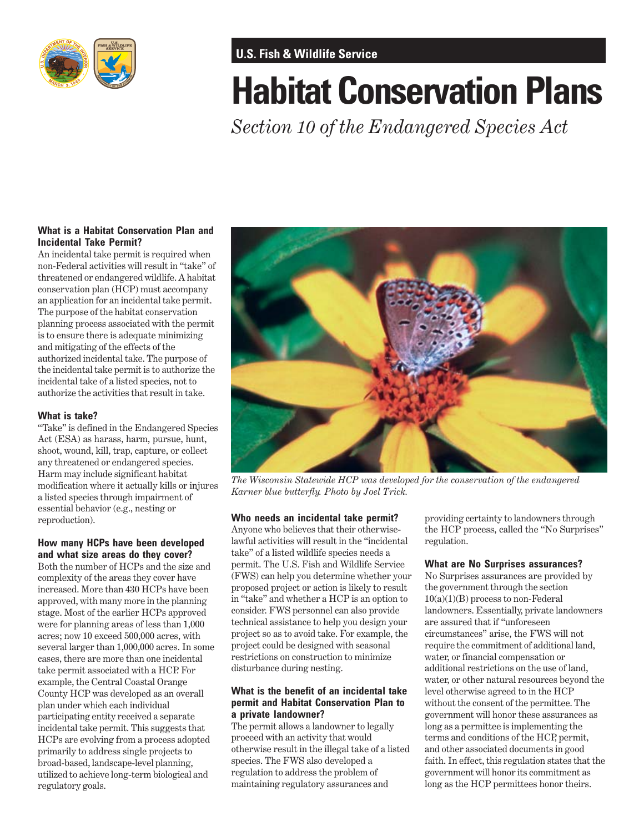

# **U.S. Fish & Wildlife Service**

# **Habitat Conservation Plans**

*Section 10 of the Endangered Species Act* 

## **What is a Habitat Conservation Plan and Incidental Take Permit?**

An incidental take permit is required when non-Federal activities will result in "take" of threatened or endangered wildlife. A habitat conservation plan (HCP) must accompany an application for an incidental take permit. The purpose of the habitat conservation planning process associated with the permit is to ensure there is adequate minimizing and mitigating of the effects of the authorized incidental take. The purpose of the incidental take permit is to authorize the incidental take of a listed species, not to authorize the activities that result in take.

#### **What is take?**

"Take" is defined in the Endangered Species Act (ESA) as harass, harm, pursue, hunt, shoot, wound, kill, trap, capture, or collect any threatened or endangered species. Harm may include significant habitat modification where it actually kills or injures a listed species through impairment of essential behavior (e.g., nesting or reproduction).

#### **How many HCPs have been developed and what size areas do they cover?**

Both the number of HCPs and the size and complexity of the areas they cover have increased. More than 430 HCPs have been approved, with many more in the planning stage. Most of the earlier HCPs approved were for planning areas of less than 1,000 acres; now 10 exceed 500,000 acres, with several larger than 1,000,000 acres. In some cases, there are more than one incidental take permit associated with a HCP. For example, the Central Coastal Orange County HCP was developed as an overall plan under which each individual participating entity received a separate incidental take permit. This suggests that HCPs are evolving from a process adopted primarily to address single projects to broad-based, landscape-level planning, utilized to achieve long-term biological and regulatory goals.



*The Wisconsin Statewide HCP was developed for the conservation of the endangered Karner blue butterfly. Photo by Joel Trick.* 

## **Who needs an incidental take permit?**

Anyone who believes that their otherwiselawful activities will result in the "incidental take" of a listed wildlife species needs a permit. The U.S. Fish and Wildlife Service (FWS) can help you determine whether your proposed project or action is likely to result in "take" and whether a HCP is an option to consider. FWS personnel can also provide technical assistance to help you design your project so as to avoid take. For example, the project could be designed with seasonal restrictions on construction to minimize disturbance during nesting.

#### **What is the benefit of an incidental take permit and Habitat Conservation Plan to a private landowner?**

The permit allows a landowner to legally proceed with an activity that would otherwise result in the illegal take of a listed species. The FWS also developed a regulation to address the problem of maintaining regulatory assurances and

providing certainty to landowners through the HCP process, called the "No Surprises" regulation.

#### **What are No Surprises assurances?**

No Surprises assurances are provided by the government through the section 10(a)(1)(B) process to non-Federal landowners. Essentially, private landowners are assured that if "unforeseen circumstances" arise, the FWS will not require the commitment of additional land, water, or financial compensation or additional restrictions on the use of land, water, or other natural resources beyond the level otherwise agreed to in the HCP without the consent of the permittee. The government will honor these assurances as long as a permittee is implementing the terms and conditions of the HCP, permit, and other associated documents in good faith. In effect, this regulation states that the government will honor its commitment as long as the HCP permittees honor theirs.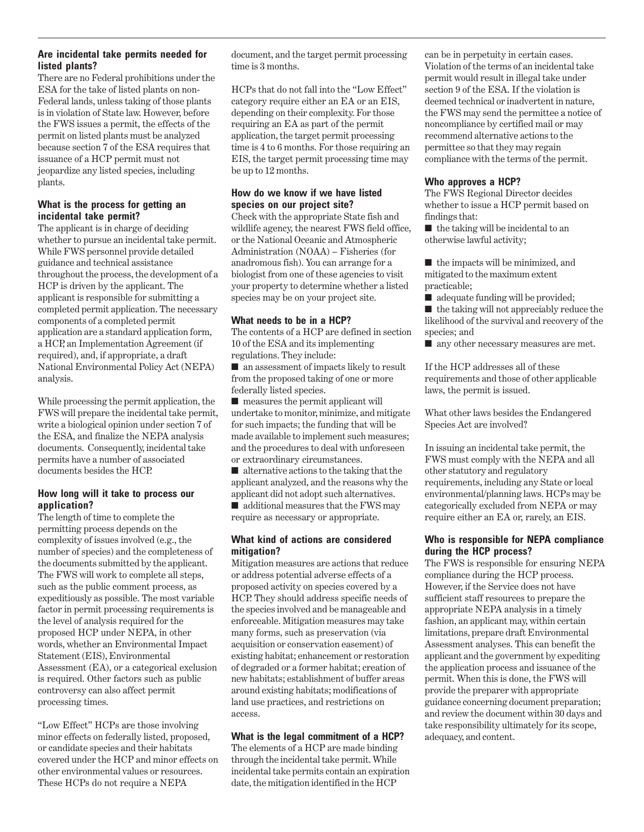#### **Are incidental take permits needed for listed plants?**

There are no Federal prohibitions under the ESA for the take of listed plants on non-Federal lands, unless taking of those plants is in violation of State law. However, before the FWS issues a permit, the effects of the permit on listed plants must be analyzed because section 7 of the ESA requires that issuance of a HCP permit must not jeopardize any listed species, including plants.

#### **What is the process for getting an incidental take permit?**

The applicant is in charge of deciding whether to pursue an incidental take permit. While FWS personnel provide detailed guidance and technical assistance throughout the process, the development of a HCP is driven by the applicant. The applicant is responsible for submitting a completed permit application. The necessary components of a completed permit application are a standard application form, a HCP, an Implementation Agreement (if required), and, if appropriate, a draft National Environmental Policy Act (NEPA) analysis.

While processing the permit application, the FWS will prepare the incidental take permit, write a biological opinion under section 7 of the ESA, and finalize the NEPA analysis documents. Consequently, incidental take permits have a number of associated documents besides the HCP.

#### **How long will it take to process our application?**

The length of time to complete the permitting process depends on the complexity of issues involved (e.g., the number of species) and the completeness of the documents submitted by the applicant. The FWS will work to complete all steps, such as the public comment process, as expeditiously as possible. The most variable factor in permit processing requirements is the level of analysis required for the proposed HCP under NEPA, in other words, whether an Environmental Impact Statement (EIS), Environmental Assessment (EA), or a categorical exclusion is required. Other factors such as public controversy can also affect permit processing times.

"Low Effect" HCPs are those involving minor effects on federally listed, proposed, or candidate species and their habitats covered under the HCP and minor effects on other environmental values or resources. These HCPs do not require a NEPA

document, and the target permit processing time is 3 months.

HCPs that do not fall into the "Low Effect" category require either an EA or an EIS, depending on their complexity. For those requiring an EA as part of the permit application, the target permit processing time is 4 to 6 months. For those requiring an EIS, the target permit processing time may be up to 12 months.

# **How do we know if we have listed species on our project site?**

Check with the appropriate State fish and wildlife agency, the nearest FWS field office, or the National Oceanic and Atmospheric Administration (NOAA) – Fisheries (for anadromous fish). You can arrange for a biologist from one of these agencies to visit your property to determine whether a listed species may be on your project site.

# **What needs to be in a HCP?**

The contents of a HCP are defined in section 10 of the ESA and its implementing regulations. They include:

■ an assessment of impacts likely to result from the proposed taking of one or more federally listed species.

■ measures the permit applicant will undertake to monitor, minimize, and mitigate for such impacts; the funding that will be made available to implement such measures; and the procedures to deal with unforeseen or extraordinary circumstances.

■ alternative actions to the taking that the applicant analyzed, and the reasons why the applicant did not adopt such alternatives. ■ additional measures that the FWS may require as necessary or appropriate.

#### **What kind of actions are considered mitigation?**

Mitigation measures are actions that reduce or address potential adverse effects of a proposed activity on species covered by a HCP. They should address specific needs of the species involved and be manageable and enforceable. Mitigation measures may take many forms, such as preservation (via acquisition or conservation easement) of existing habitat; enhancement or restoration of degraded or a former habitat; creation of new habitats; establishment of buffer areas around existing habitats; modifications of land use practices, and restrictions on access.

# **What is the legal commitment of a HCP?**

The elements of a HCP are made binding through the incidental take permit. While incidental take permits contain an expiration date, the mitigation identified in the HCP

can be in perpetuity in certain cases. Violation of the terms of an incidental take permit would result in illegal take under section 9 of the ESA. If the violation is deemed technical or inadvertent in nature, the FWS may send the permittee a notice of noncompliance by certified mail or may recommend alternative actions to the permittee so that they may regain compliance with the terms of the permit.

# **Who approves a HCP?**

The FWS Regional Director decides whether to issue a HCP permit based on findings that:

 $\blacksquare$  the taking will be incidental to an otherwise lawful activity;

■ the impacts will be minimized, and mitigated to the maximum extent practicable;

■ adequate funding will be provided;

■ the taking will not appreciably reduce the likelihood of the survival and recovery of the species; and

■ any other necessary measures are met.

If the HCP addresses all of these requirements and those of other applicable laws, the permit is issued.

What other laws besides the Endangered Species Act are involved?

In issuing an incidental take permit, the FWS must comply with the NEPA and all other statutory and regulatory requirements, including any State or local environmental/planning laws. HCPs may be categorically excluded from NEPA or may require either an EA or, rarely, an EIS.

#### **Who is responsible for NEPA compliance during the HCP process?**

The FWS is responsible for ensuring NEPA compliance during the HCP process. However, if the Service does not have sufficient staff resources to prepare the appropriate NEPA analysis in a timely fashion, an applicant may, within certain limitations, prepare draft Environmental Assessment analyses. This can benefit the applicant and the government by expediting the application process and issuance of the permit. When this is done, the FWS will provide the preparer with appropriate guidance concerning document preparation; and review the document within 30 days and take responsibility ultimately for its scope, adequacy, and content.